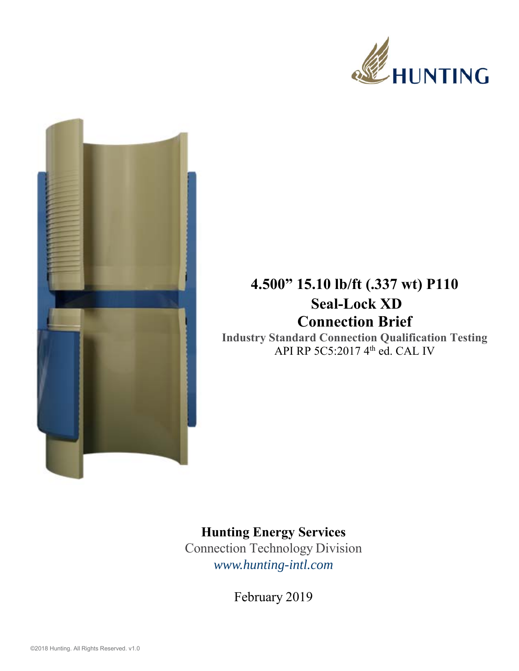



## **4.500" 15.10 lb/ft (.337 wt) P110 Seal-Lock XD Connection Brief**

**Industry Standard Connection Qualification Testing**  API RP 5C5:2017 4<sup>th</sup> ed. CAL IV

## **Hunting Energy Services**

Connection Technology Division *www.hunting-intl.com*

February 2019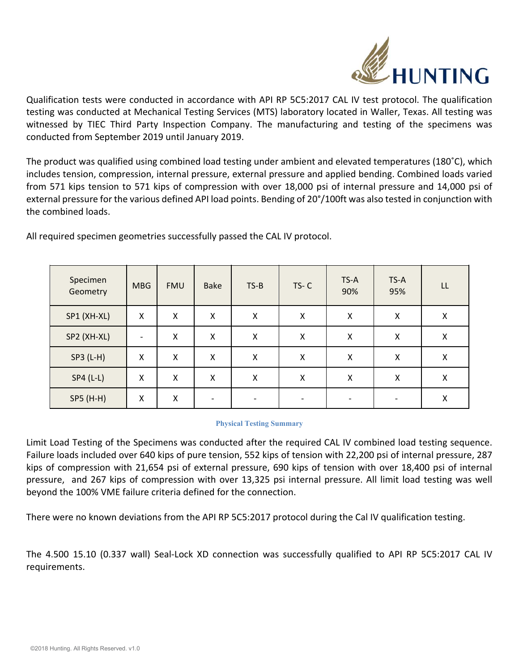

Qualification tests were conducted in accordance with API RP 5C5:2017 CAL IV test protocol. The qualification testing was conducted at Mechanical Testing Services (MTS) laboratory located in Waller, Texas. All testing was witnessed by TIEC Third Party Inspection Company. The manufacturing and testing of the specimens was conducted from September 2019 until January 2019.

The product was qualified using combined load testing under ambient and elevated temperatures (180˚C), which includes tension, compression, internal pressure, external pressure and applied bending. Combined loads varied from 571 kips tension to 571 kips of compression with over 18,000 psi of internal pressure and 14,000 psi of external pressure for the various defined API load points. Bending of 20°/100ft was also tested in conjunction with the combined loads.

| Specimen<br>Geometry | <b>MBG</b>               | <b>FMU</b> | <b>Bake</b> | $TS-B$ | $TS-C$ | TS-A<br>90% | TS-A<br>95% | LL |
|----------------------|--------------------------|------------|-------------|--------|--------|-------------|-------------|----|
| SP1 (XH-XL)          | X                        | Χ          | Χ           | Χ      | X      | X           | X           | X  |
| SP2 (XH-XL)          | $\overline{\phantom{0}}$ | Χ          | X           | Χ      | X      | X           | X           | X  |
| SP3 (L-H)            | Χ                        | Χ          | X           | X      | X      | X           | Χ           | X  |
| $SP4(L-L)$           | Χ                        | X          | X           | Χ      | X      | X           | X           | X  |
| SP5 (H-H)            | X                        | X          |             |        |        |             |             | Χ  |

All required specimen geometries successfully passed the CAL IV protocol.

## **Physical Testing Summary**

Limit Load Testing of the Specimens was conducted after the required CAL IV combined load testing sequence. Failure loads included over 640 kips of pure tension, 552 kips of tension with 22,200 psi of internal pressure, 287 kips of compression with 21,654 psi of external pressure, 690 kips of tension with over 18,400 psi of internal pressure, and 267 kips of compression with over 13,325 psi internal pressure. All limit load testing was well beyond the 100% VME failure criteria defined for the connection.

There were no known deviations from the API RP 5C5:2017 protocol during the Cal IV qualification testing.

The 4.500 15.10 (0.337 wall) Seal‐Lock XD connection was successfully qualified to API RP 5C5:2017 CAL IV requirements.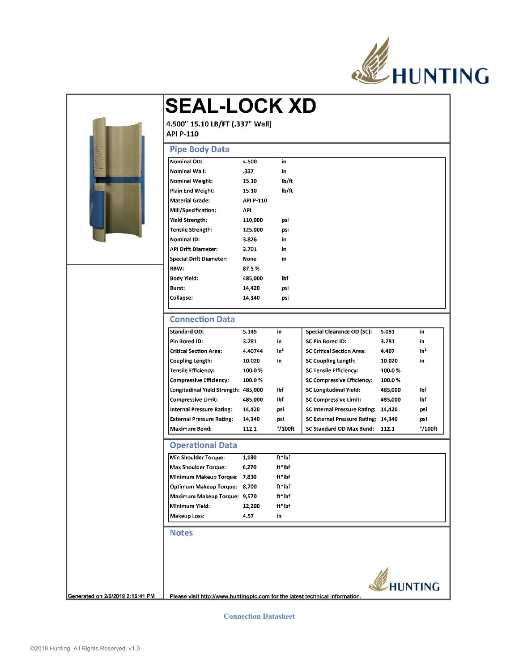

|      | <b>Pipe Body Data</b>                  |           |                   |                                     |         |                   |  |  |  |  |
|------|----------------------------------------|-----------|-------------------|-------------------------------------|---------|-------------------|--|--|--|--|
|      | Nominal OD:                            | 4.500     | in                |                                     |         |                   |  |  |  |  |
|      | Nominal Wall:                          | .337      | in                |                                     |         |                   |  |  |  |  |
|      | Nominal Weight:                        | 15.10     | lb/ft             |                                     |         |                   |  |  |  |  |
|      | Plain End Weight:                      | 15.10     | lb/ft             |                                     |         |                   |  |  |  |  |
|      | <b>Material Grade:</b>                 | API P-110 |                   |                                     |         |                   |  |  |  |  |
|      | Mill/Specification:                    | API       |                   |                                     |         |                   |  |  |  |  |
|      | Yield Strength:                        | 110,000   | psi               |                                     |         |                   |  |  |  |  |
|      | Tensile Strength:                      | 125,000   | psi               |                                     |         |                   |  |  |  |  |
|      | Nominal ID:                            | 3.826     | in                |                                     |         |                   |  |  |  |  |
|      | <b>API Drift Diameter:</b>             | 3.701     | in                |                                     |         |                   |  |  |  |  |
|      | <b>Special Drift Diameter:</b>         | None      | in                |                                     |         |                   |  |  |  |  |
| RBW: |                                        | 87.5%     |                   |                                     |         |                   |  |  |  |  |
|      | <b>Body Yield:</b>                     | 485,000   | lbf               |                                     |         |                   |  |  |  |  |
|      | Burst:                                 | 14,420    | psi               |                                     |         |                   |  |  |  |  |
|      | Collapse:                              | 14,340    | psi               |                                     |         |                   |  |  |  |  |
|      | Pin Bored ID:                          | 3.781     | in                | SC Pin Bored ID:                    | 3.781   | in                |  |  |  |  |
|      | <b>Connection Data</b><br>Standard OD: | 5.145     | in                | Special Clearance OD (SC):          | 5.081   | in                |  |  |  |  |
|      |                                        |           |                   |                                     |         |                   |  |  |  |  |
|      | <b>Critical Section Area:</b>          | 4.40744   | in <sup>2</sup>   | <b>SC Critical Section Area:</b>    | 4.407   | $in^2$            |  |  |  |  |
|      | Coupling Length:                       | 10.020    | in                | <b>SC Coupling Length:</b>          | 10.020  | in                |  |  |  |  |
|      | Tensile Efficiency:                    | 100.0%    |                   | <b>SC Tensile Efficiency:</b>       | 100.0%  |                   |  |  |  |  |
|      | <b>Compressive Efficiency:</b>         | 100.0%    |                   | SC Compressive Efficiency:          | 100.0%  |                   |  |  |  |  |
|      | Longitudinal Yield Strength: 485,000   |           | lbf               | SC Longitudinal Yield:              | 485,000 | lbf               |  |  |  |  |
|      | <b>Compressive Limit:</b>              | 485,000   | lbf               | <b>SC Compressive Limit:</b>        | 485,000 | lbf               |  |  |  |  |
|      | <b>Internal Pressure Rating:</b>       | 14,420    | psi               | <b>SC Internal Pressure Rating:</b> | 14,420  | psi               |  |  |  |  |
|      | <b>External Pressure Rating:</b>       | 14,340    | psi               | SC External Pressure Rating: 14,340 |         | psi               |  |  |  |  |
|      | <b>Maximum Bend:</b>                   | 112.1     | $^{\circ}/100$ ft | SC Standard OD Max Bend:            | 112.1   | $^{\circ}/100$ ft |  |  |  |  |
|      | <b>Operational Data</b>                |           |                   |                                     |         |                   |  |  |  |  |
|      | Min Shoulder Torque:                   | 1,180     | ft*lbf            |                                     |         |                   |  |  |  |  |
|      | <b>Max Shoulder Torque:</b>            | 6,270     | ft*lbf            |                                     |         |                   |  |  |  |  |
|      | Minimum Makeup Torque:    7,830        |           | ft*lbf            |                                     |         |                   |  |  |  |  |
|      | Optimum Makeup Torque: 8,700           |           | ft*lbf            |                                     |         |                   |  |  |  |  |
|      | Maximum Makeup Torque: 9,570           |           | ft*lbf            |                                     |         |                   |  |  |  |  |
|      | Minimum Yield:                         | 12,200    | ft*lbf            |                                     |         |                   |  |  |  |  |
|      | <b>Makeup Loss:</b>                    | 4.57      | in                |                                     |         |                   |  |  |  |  |
|      |                                        |           |                   |                                     |         |                   |  |  |  |  |
|      | <b>Notes</b>                           |           |                   |                                     |         |                   |  |  |  |  |

**Connection Datasheet**